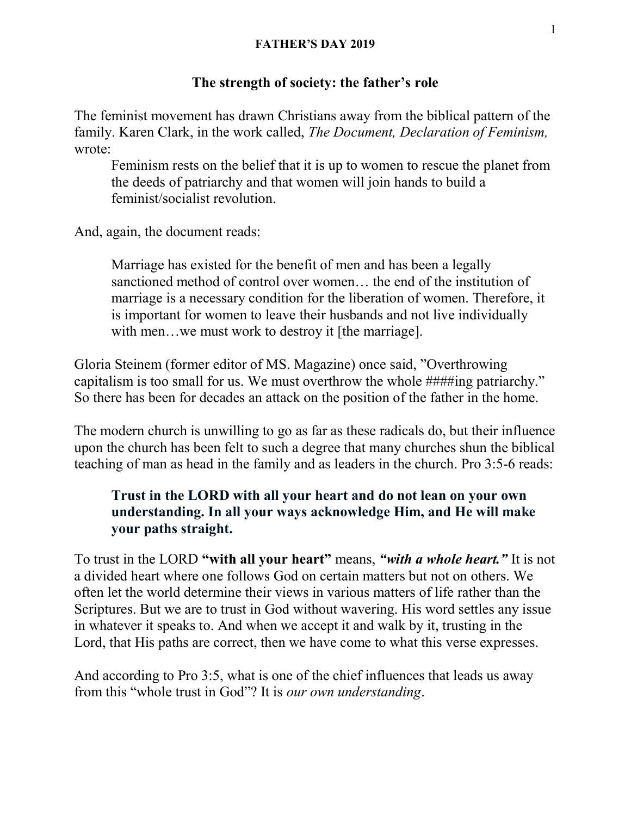#### The strength of society: the father's role

The feminist movement has drawn Christians away from the biblical pattern of the family. Karen Clark, in the work called, The Document, Declaration of Feminism, wrote:

Feminism rests on the belief that it is up to women to rescue the planet from the deeds of patriarchy and that women will join hands to build a feminist/socialist revolution.

And, again, the document reads:

Marriage has existed for the benefit of men and has been a legally sanctioned method of control over women… the end of the institution of marriage is a necessary condition for the liberation of women. Therefore, it is important for women to leave their husbands and not live individually with men...we must work to destroy it [the marriage].

Gloria Steinem (former editor of MS. Magazine) once said, "Overthrowing capitalism is too small for us. We must overthrow the whole ####ing patriarchy." So there has been for decades an attack on the position of the father in the home.

The modern church is unwilling to go as far as these radicals do, but their influence upon the church has been felt to such a degree that many churches shun the biblical teaching of man as head in the family and as leaders in the church. Pro 3:5-6 reads:

### Trust in the LORD with all your heart and do not lean on your own understanding. In all your ways acknowledge Him, and He will make your paths straight.

To trust in the LORD "with all your heart" means, "with a whole heart." It is not a divided heart where one follows God on certain matters but not on others. We often let the world determine their views in various matters of life rather than the Scriptures. But we are to trust in God without wavering. His word settles any issue in whatever it speaks to. And when we accept it and walk by it, trusting in the Lord, that His paths are correct, then we have come to what this verse expresses.

And according to Pro 3:5, what is one of the chief influences that leads us away from this "whole trust in God"? It is our own understanding.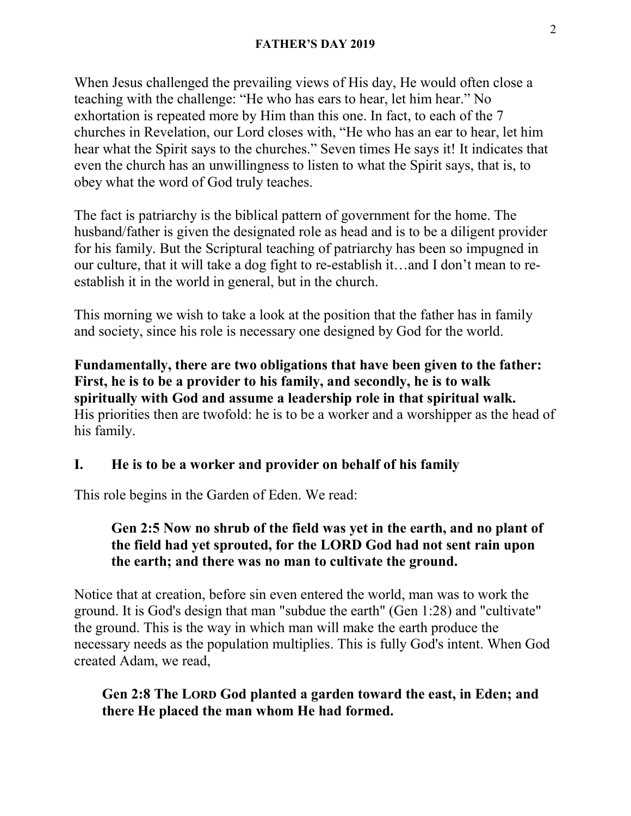When Jesus challenged the prevailing views of His day, He would often close a teaching with the challenge: "He who has ears to hear, let him hear." No exhortation is repeated more by Him than this one. In fact, to each of the 7 churches in Revelation, our Lord closes with, "He who has an ear to hear, let him hear what the Spirit says to the churches." Seven times He says it! It indicates that even the church has an unwillingness to listen to what the Spirit says, that is, to obey what the word of God truly teaches.

The fact is patriarchy is the biblical pattern of government for the home. The husband/father is given the designated role as head and is to be a diligent provider for his family. But the Scriptural teaching of patriarchy has been so impugned in our culture, that it will take a dog fight to re-establish it…and I don't mean to reestablish it in the world in general, but in the church.

This morning we wish to take a look at the position that the father has in family and society, since his role is necessary one designed by God for the world.

Fundamentally, there are two obligations that have been given to the father: First, he is to be a provider to his family, and secondly, he is to walk spiritually with God and assume a leadership role in that spiritual walk. His priorities then are twofold: he is to be a worker and a worshipper as the head of his family.

#### I. He is to be a worker and provider on behalf of his family

This role begins in the Garden of Eden. We read:

#### Gen 2:5 Now no shrub of the field was yet in the earth, and no plant of the field had yet sprouted, for the LORD God had not sent rain upon the earth; and there was no man to cultivate the ground.

Notice that at creation, before sin even entered the world, man was to work the ground. It is God's design that man "subdue the earth" (Gen 1:28) and "cultivate" the ground. This is the way in which man will make the earth produce the necessary needs as the population multiplies. This is fully God's intent. When God created Adam, we read,

#### Gen 2:8 The LORD God planted a garden toward the east, in Eden; and there He placed the man whom He had formed.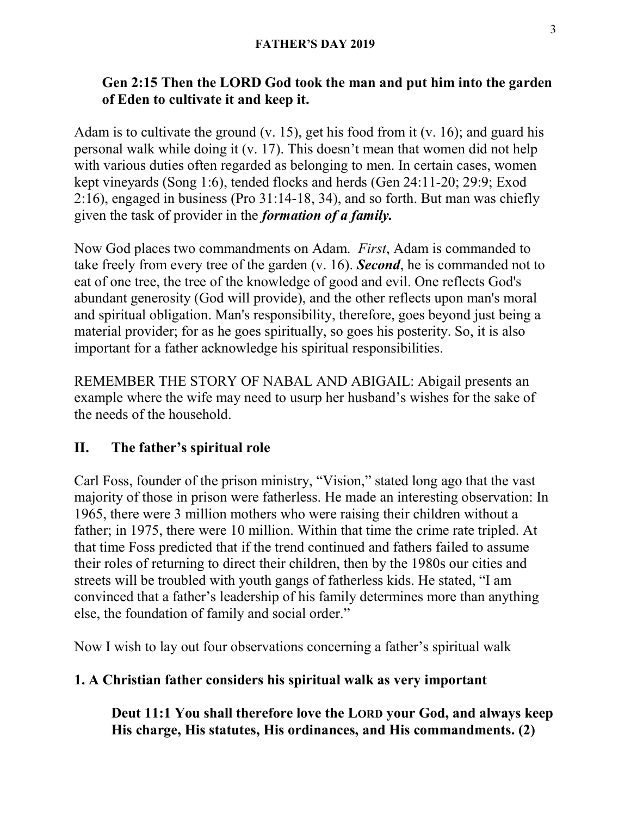## Gen 2:15 Then the LORD God took the man and put him into the garden of Eden to cultivate it and keep it.

Adam is to cultivate the ground (v. 15), get his food from it (v. 16); and guard his personal walk while doing it (v. 17). This doesn't mean that women did not help with various duties often regarded as belonging to men. In certain cases, women kept vineyards (Song 1:6), tended flocks and herds (Gen 24:11-20; 29:9; Exod 2:16), engaged in business (Pro 31:14-18, 34), and so forth. But man was chiefly given the task of provider in the formation of a family.

Now God places two commandments on Adam. First, Adam is commanded to take freely from every tree of the garden (v. 16). **Second**, he is commanded not to eat of one tree, the tree of the knowledge of good and evil. One reflects God's abundant generosity (God will provide), and the other reflects upon man's moral and spiritual obligation. Man's responsibility, therefore, goes beyond just being a material provider; for as he goes spiritually, so goes his posterity. So, it is also important for a father acknowledge his spiritual responsibilities.

REMEMBER THE STORY OF NABAL AND ABIGAIL: Abigail presents an example where the wife may need to usurp her husband's wishes for the sake of the needs of the household.

# II. The father's spiritual role

Carl Foss, founder of the prison ministry, "Vision," stated long ago that the vast majority of those in prison were fatherless. He made an interesting observation: In 1965, there were 3 million mothers who were raising their children without a father; in 1975, there were 10 million. Within that time the crime rate tripled. At that time Foss predicted that if the trend continued and fathers failed to assume their roles of returning to direct their children, then by the 1980s our cities and streets will be troubled with youth gangs of fatherless kids. He stated, "I am convinced that a father's leadership of his family determines more than anything else, the foundation of family and social order."

Now I wish to lay out four observations concerning a father's spiritual walk

# 1. A Christian father considers his spiritual walk as very important

Deut 11:1 You shall therefore love the LORD your God, and always keep His charge, His statutes, His ordinances, and His commandments. (2)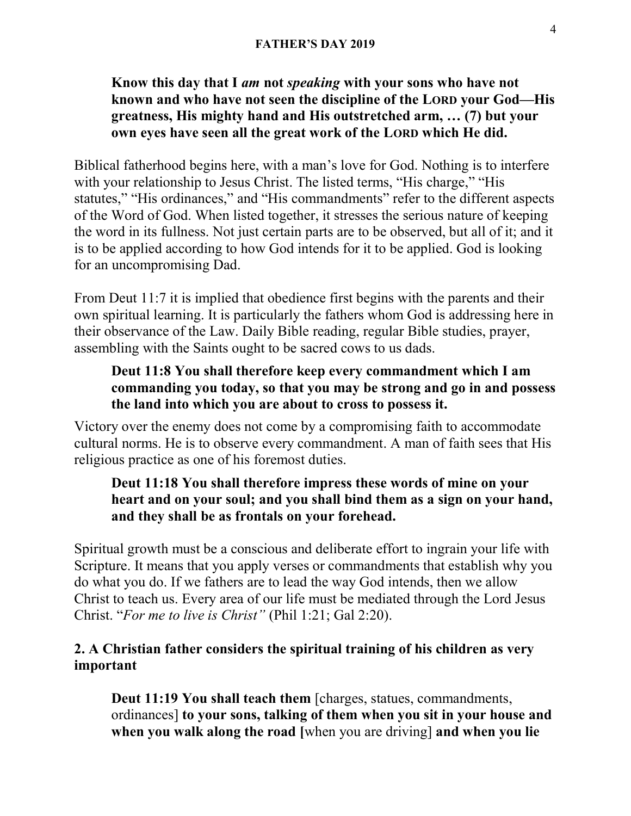### Know this day that I am not speaking with your sons who have not known and who have not seen the discipline of the LORD your God—His greatness, His mighty hand and His outstretched arm, … (7) but your own eyes have seen all the great work of the LORD which He did.

Biblical fatherhood begins here, with a man's love for God. Nothing is to interfere with your relationship to Jesus Christ. The listed terms, "His charge," "His statutes," "His ordinances," and "His commandments" refer to the different aspects of the Word of God. When listed together, it stresses the serious nature of keeping the word in its fullness. Not just certain parts are to be observed, but all of it; and it is to be applied according to how God intends for it to be applied. God is looking for an uncompromising Dad.

From Deut 11:7 it is implied that obedience first begins with the parents and their own spiritual learning. It is particularly the fathers whom God is addressing here in their observance of the Law. Daily Bible reading, regular Bible studies, prayer, assembling with the Saints ought to be sacred cows to us dads.

### Deut 11:8 You shall therefore keep every commandment which I am commanding you today, so that you may be strong and go in and possess the land into which you are about to cross to possess it.

Victory over the enemy does not come by a compromising faith to accommodate cultural norms. He is to observe every commandment. A man of faith sees that His religious practice as one of his foremost duties.

#### Deut 11:18 You shall therefore impress these words of mine on your heart and on your soul; and you shall bind them as a sign on your hand, and they shall be as frontals on your forehead.

Spiritual growth must be a conscious and deliberate effort to ingrain your life with Scripture. It means that you apply verses or commandments that establish why you do what you do. If we fathers are to lead the way God intends, then we allow Christ to teach us. Every area of our life must be mediated through the Lord Jesus Christ. "For me to live is Christ" (Phil 1:21; Gal 2:20).

#### 2. A Christian father considers the spiritual training of his children as very important

Deut 11:19 You shall teach them [charges, statues, commandments, ordinances] to your sons, talking of them when you sit in your house and when you walk along the road [when you are driving] and when you lie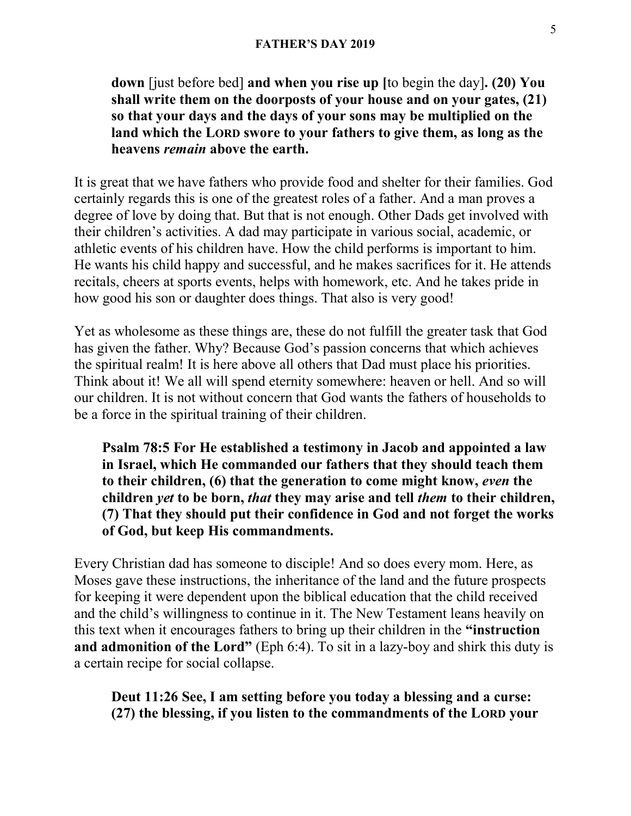down [just before bed] and when you rise up [to begin the day]. (20) You shall write them on the doorposts of your house and on your gates, (21) so that your days and the days of your sons may be multiplied on the land which the LORD swore to your fathers to give them, as long as the heavens *remain* above the earth.

It is great that we have fathers who provide food and shelter for their families. God certainly regards this is one of the greatest roles of a father. And a man proves a degree of love by doing that. But that is not enough. Other Dads get involved with their children's activities. A dad may participate in various social, academic, or athletic events of his children have. How the child performs is important to him. He wants his child happy and successful, and he makes sacrifices for it. He attends recitals, cheers at sports events, helps with homework, etc. And he takes pride in how good his son or daughter does things. That also is very good!

Yet as wholesome as these things are, these do not fulfill the greater task that God has given the father. Why? Because God's passion concerns that which achieves the spiritual realm! It is here above all others that Dad must place his priorities. Think about it! We all will spend eternity somewhere: heaven or hell. And so will our children. It is not without concern that God wants the fathers of households to be a force in the spiritual training of their children.

Psalm 78:5 For He established a testimony in Jacob and appointed a law in Israel, which He commanded our fathers that they should teach them to their children, (6) that the generation to come might know, even the children yet to be born, that they may arise and tell them to their children, (7) That they should put their confidence in God and not forget the works of God, but keep His commandments.

Every Christian dad has someone to disciple! And so does every mom. Here, as Moses gave these instructions, the inheritance of the land and the future prospects for keeping it were dependent upon the biblical education that the child received and the child's willingness to continue in it. The New Testament leans heavily on this text when it encourages fathers to bring up their children in the "instruction and admonition of the Lord" (Eph 6:4). To sit in a lazy-boy and shirk this duty is a certain recipe for social collapse.

Deut 11:26 See, I am setting before you today a blessing and a curse: (27) the blessing, if you listen to the commandments of the LORD your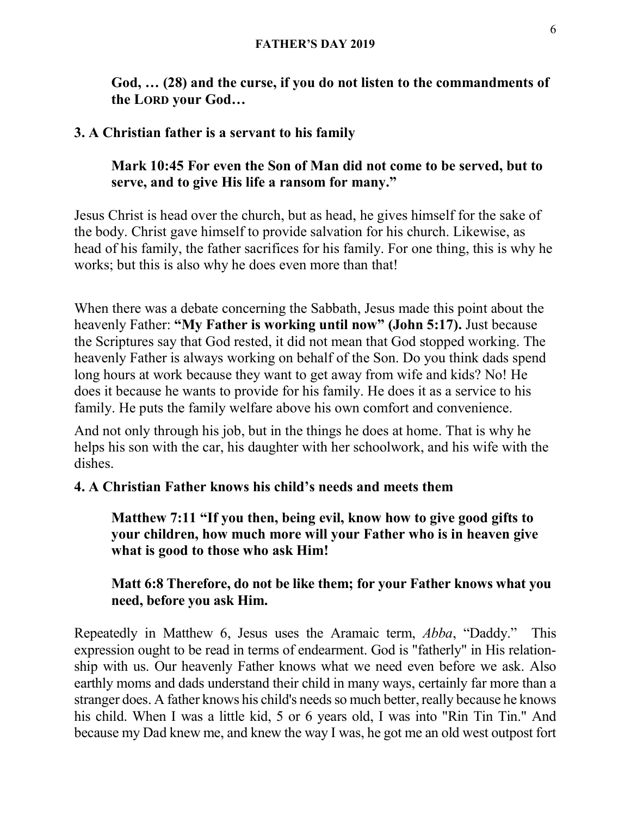God, … (28) and the curse, if you do not listen to the commandments of the LORD your God…

### 3. A Christian father is a servant to his family

### Mark 10:45 For even the Son of Man did not come to be served, but to serve, and to give His life a ransom for many."

Jesus Christ is head over the church, but as head, he gives himself for the sake of the body. Christ gave himself to provide salvation for his church. Likewise, as head of his family, the father sacrifices for his family. For one thing, this is why he works; but this is also why he does even more than that!

When there was a debate concerning the Sabbath, Jesus made this point about the heavenly Father: "My Father is working until now" (John 5:17). Just because the Scriptures say that God rested, it did not mean that God stopped working. The heavenly Father is always working on behalf of the Son. Do you think dads spend long hours at work because they want to get away from wife and kids? No! He does it because he wants to provide for his family. He does it as a service to his family. He puts the family welfare above his own comfort and convenience.

And not only through his job, but in the things he does at home. That is why he helps his son with the car, his daughter with her schoolwork, and his wife with the dishes.

### 4. A Christian Father knows his child's needs and meets them

Matthew 7:11 "If you then, being evil, know how to give good gifts to your children, how much more will your Father who is in heaven give what is good to those who ask Him!

#### Matt 6:8 Therefore, do not be like them; for your Father knows what you need, before you ask Him.

Repeatedly in Matthew 6, Jesus uses the Aramaic term, Abba, "Daddy." This expression ought to be read in terms of endearment. God is "fatherly" in His relationship with us. Our heavenly Father knows what we need even before we ask. Also earthly moms and dads understand their child in many ways, certainly far more than a stranger does. A father knows his child's needs so much better, really because he knows his child. When I was a little kid, 5 or 6 years old, I was into "Rin Tin Tin." And because my Dad knew me, and knew the way I was, he got me an old west outpost fort